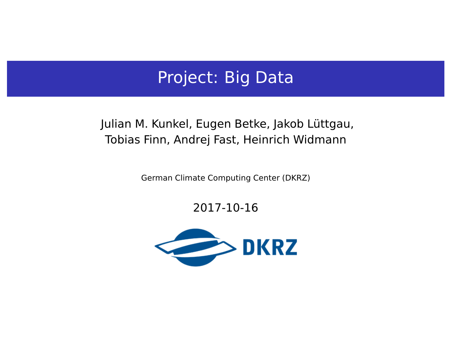## Project: Big Data

### Julian M. Kunkel, Eugen Betke, Jakob Lüttgau, Tobias Finn, Andrej Fast, Heinrich Widmann

German Climate Computing Center (DKRZ)

2017-10-16

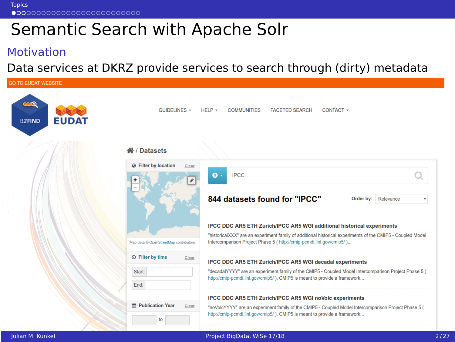<span id="page-1-0"></span>**[Topics](#page-1-0)** 

# Semantic Search with Apache Solr

#### Motivation

Data services at DKRZ provide services to search through (dirty) metadata

| <b>GO TO EUDAT WEBSITE</b>          |                                       |                                                                                                                                                                                    |
|-------------------------------------|---------------------------------------|------------------------------------------------------------------------------------------------------------------------------------------------------------------------------------|
| œQ<br><b>EUDAT</b><br><b>B2FIND</b> | $GUIDFLINES$ +                        | $HELP -$<br><b>COMMUNITIES</b><br><b>FACETED SEARCH</b><br>CONTACT -                                                                                                               |
|                                     | <b>谷/Datasets</b>                     |                                                                                                                                                                                    |
|                                     | <b>Q</b> Filter by location<br>Clear  |                                                                                                                                                                                    |
|                                     |                                       | $\mathbf{e}$ .<br><b>IPCC</b>                                                                                                                                                      |
|                                     |                                       | 844 datasets found for "IPCC"<br>Order by:<br>Relevance                                                                                                                            |
|                                     |                                       | <b>IPCC DDC AR5 ETH Zurich/IPCC AR5 WGI additional historical experiments</b>                                                                                                      |
|                                     |                                       | "historicalXXX" are an experiment family of additional historical experiments of the CMIP5 - Coupled Model                                                                         |
|                                     | Map data © OpenStreetMap contributors | Intercomparison Project Phase 5 (http://cmip-pcmdi.llnl.gov/cmip5/)                                                                                                                |
|                                     | ⊙ Filter by time<br>Clear             | IPCC DDC AR5 ETH Zurich/IPCC AR5 WGI decadal experiments                                                                                                                           |
|                                     | Start:                                | "decadalYYYY" are an experiment family of the CMIP5 - Coupled Model Intercomparison Project Phase 5 (<br>http://cmip-pcmdi.llnl.gov/cmip5/). CMIP5 is meant to provide a framework |
|                                     | End:                                  |                                                                                                                                                                                    |
|                                     |                                       | IPCC DDC AR5 ETH Zurich/IPCC AR5 WGI noVolc experiments                                                                                                                            |
|                                     | <b>■ Publication Year</b><br>Clear    | "noVolcYYYY" are an experiment family of the CMIP5 - Coupled Model Intercomparison Project Phase 5 (<br>http://cmip-pcmdi.llnl.gov/cmip5/ ). CMIP5 is meant to provide a framework |
|                                     | to                                    |                                                                                                                                                                                    |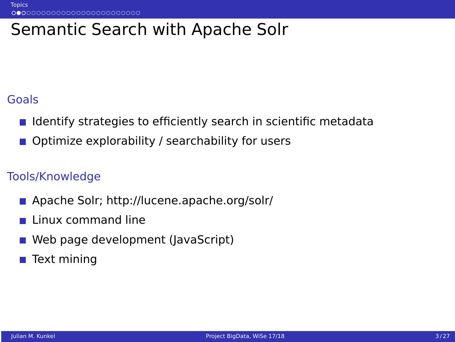## Semantic Search with Apache Solr

#### Goals

- I Identify strategies to efficiently search in scientific metadata
- Optimize explorability / searchability for users

- Apache Solr;<http://lucene.apache.org/solr/>  $\sim$
- Linux command line
- Web page development (JavaScript) **I**
- П Text mining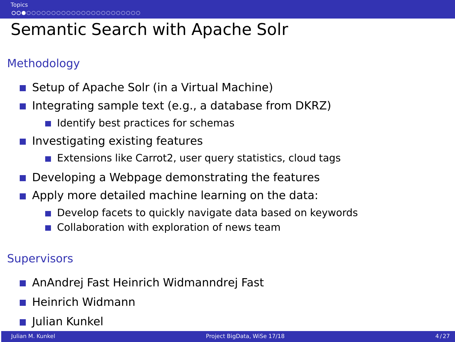# Semantic Search with Apache Solr

## Methodology

- Setup of Apache Solr (in a Virtual Machine)
- Integrating sample text (e.g., a database from DKRZ)
	- $\blacksquare$  Identify best practices for schemas
- $\blacksquare$  Investigating existing features
	- Extensions like Carrot2, user query statistics, cloud tags
- Developing a Webpage demonstrating the features
- Apply more detailed machine learning on the data:
	- **Develop facets to quickly navigate data based on keywords**
	- Collaboration with exploration of news team

- AnAndrej Fast Heinrich Widmanndrej Fast
- $\blacksquare$  Heinrich Widmann
- **Julian Kunkel**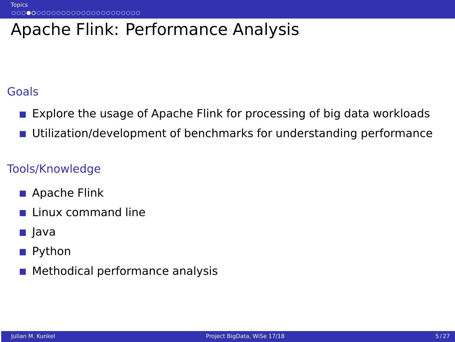# Apache Flink: Performance Analysis

### Goals

- **Explore the usage of Apache Flink for processing of big data workloads**
- **Utilization/development of benchmarks for understanding performance**

- Apache Flink
- $\blacksquare$  Linux command line
- **■** Java
- Python
- **Methodical performance analysis**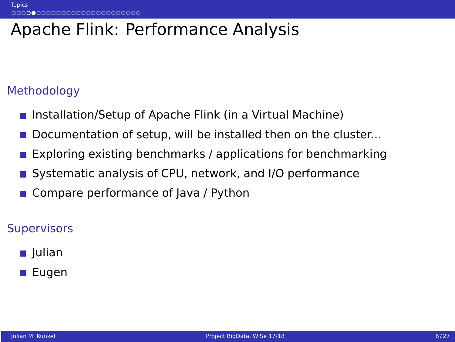# Apache Flink: Performance Analysis

### Methodology

- Installation/Setup of Apache Flink (in a Virtual Machine)
- Documentation of setup, will be installed then on the cluster...
- Exploring existing benchmarks / applications for benchmarking
- Systematic analysis of CPU, network, and I/O performance
- Compare performance of Java / Python

- **■** Julian
- Eugen  $\mathcal{L}_{\mathcal{A}}$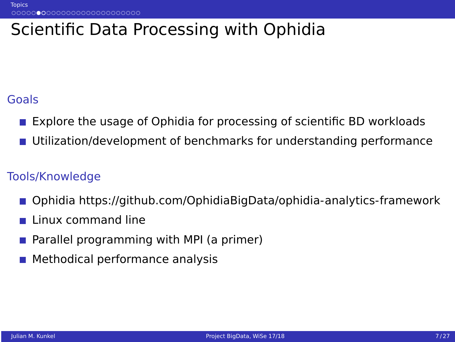# Scientific Data Processing with Ophidia

#### Goals

- **EXPLORE SEXUAGE SET SEXUAGE IN EXPLORER IS EXPLORED TO EXPLORE SET SEXUAGE IS EXPLORED EXPLORED EXPLORED EXPLORED**
- Utilization/development of benchmarks for understanding performance

- Ophidia<https://github.com/OphidiaBigData/ophidia-analytics-framework>
- Linux command line
- Parallel programming with MPI (a primer)
- Methodical performance analysis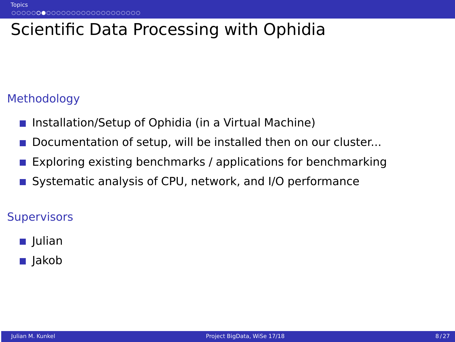# Scientific Data Processing with Ophidia

### Methodology

- Installation/Setup of Ophidia (in a Virtual Machine)
- Documentation of setup, will be installed then on our cluster...
- Exploring existing benchmarks / applications for benchmarking
- Systematic analysis of CPU, network, and I/O performance

- **■** Julian
- **■** Jakob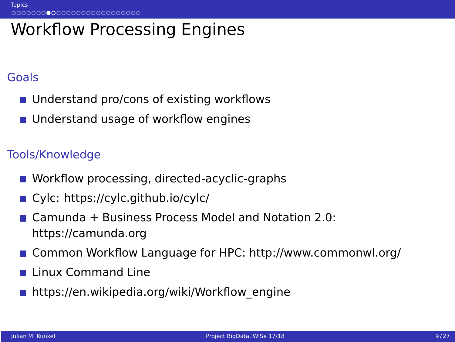## Workflow Processing Engines

#### Goals

- Understand pro/cons of existing workflows
- Understand usage of workflow engines

- Workflow processing, directed-acyclic-graphs
- Cylc:<https://cylc.github.io/cylc/>
- Camunda + Business Process Model and Notation 2.0: <https://camunda.org>
- Common Workflow Language for HPC:<http://www.commonwl.org/>
- Linux Command Line
- [https://en.wikipedia.org/wiki/Workflow\\_engine](https://en.wikipedia.org/wiki/Workflow_engine)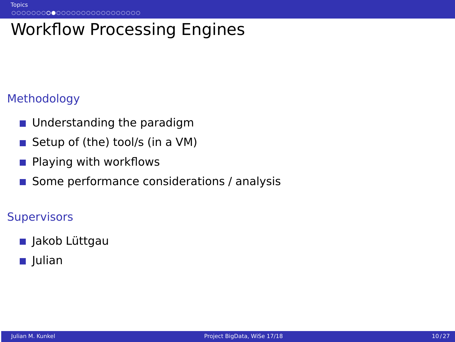# Workflow Processing Engines

### Methodology

- **Understanding the paradigm**
- Setup of (the) tool/s (in a VM)
- Playing with workflows  $\mathcal{L}_{\mathcal{A}}$
- Some performance considerations / analysis

- Jakob Lüttgau
- Julian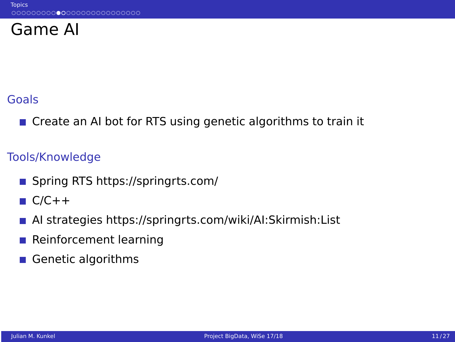## Game AI

## Goals

 $\blacksquare$  Create an AI bot for RTS using genetic algorithms to train it

- Spring RTS<https://springrts.com/>
- $C/C++$
- AI strategies<https://springrts.com/wiki/AI:Skirmish:List>  $\mathcal{L}_{\mathcal{A}}$
- П Reinforcement learning
- Genetic algorithms  $\sim$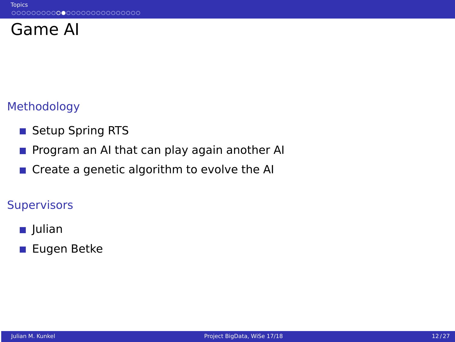## Game AI

## Methodology

- Setup Spring RTS
- Program an AI that can play again another AI  $\sim$
- Create a genetic algorithm to evolve the AI

- **■** Julian
- **Eugen Betke**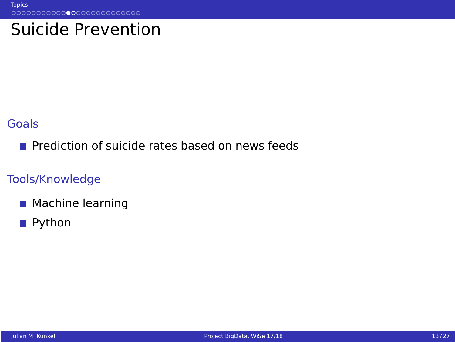## Suicide Prevention

#### **Goals**

**Prediction of suicide rates based on news feeds** 

- **Machine learning**
- Python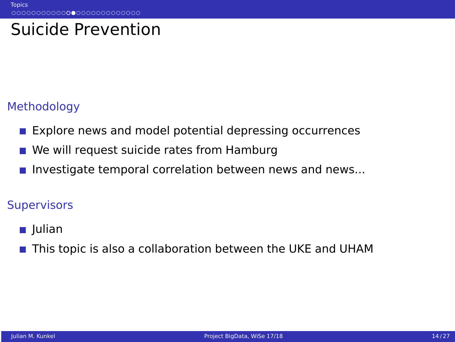# Suicide Prevention

## Methodology

- **Explore news and model potential depressing occurrences**
- We will request suicide rates from Hamburg
- Investigate temporal correlation between news and news...

- **■** Julian
- This topic is also a collaboration between the UKE and UHAM  $\sim$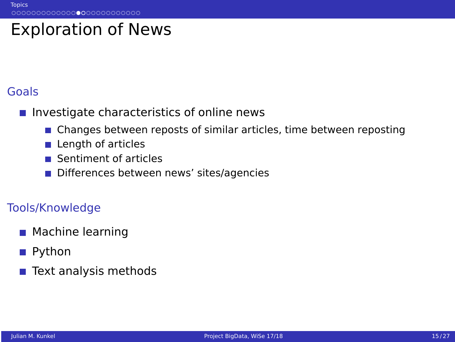## Exploration of News

### Goals

- $\blacksquare$  Investigate characteristics of online news
	- Changes between reposts of similar articles, time between reposting
	- **Length of articles**
	- Sentiment of articles **COL**
	- Differences between news' sites/agencies

- Machine learning
- Python
- $\sim$ Text analysis methods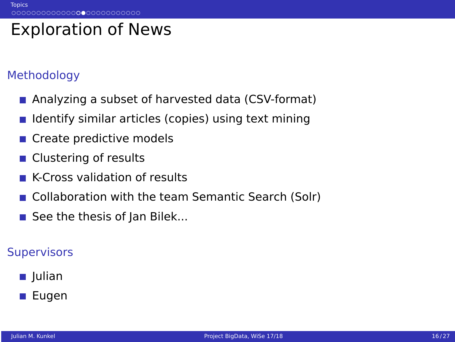# Exploration of News

### Methodology

- **Analyzing a subset of harvested data (CSV-format)**
- Identify similar articles (copies) using text mining  $\sim$
- Create predictive models
- Clustering of results  $\sim$
- K-Cross validation of results
- **Collaboration with the team Semantic Search (Solr)**
- $\blacksquare$  See the thesis of Jan Bilek...

- **■** Julian
- Eugen **I**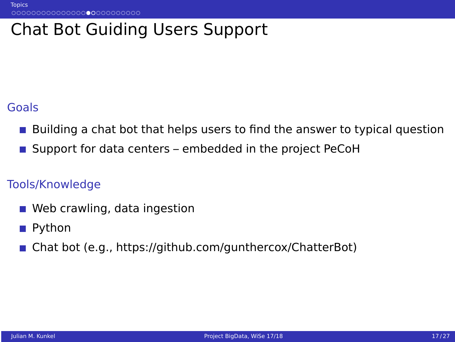## Chat Bot Guiding Users Support

### Goals

- Building a chat bot that helps users to find the answer to typical question
- Support for data centers embedded in the project PeCoH

- Web crawling, data ingestion  $\sim$
- Python  $\sim$
- Chat bot (e.g., [https://github.com/gunthercox/ChatterBot\)](https://github.com/gunthercox/ChatterBot)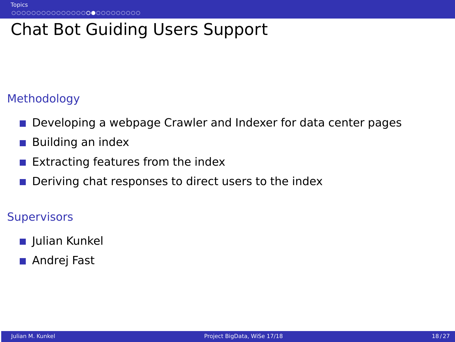## Chat Bot Guiding Users Support

#### Methodology

- Developing a webpage Crawler and Indexer for data center pages
- Building an index  $\mathcal{L}_{\mathcal{A}}$
- $\sim$ Extracting features from the index
- $\mathcal{C}^{\mathcal{A}}$ Deriving chat responses to direct users to the index

- Julian Kunkel
- Andrej Fast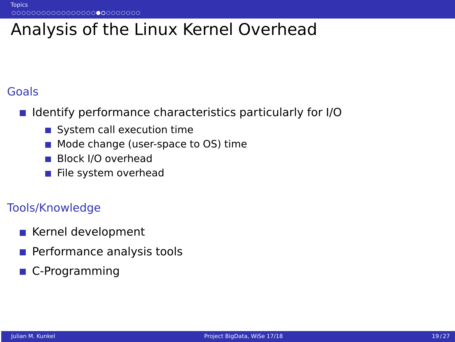# Analysis of the Linux Kernel Overhead

### Goals

- Identify performance characteristics particularly for I/O
	- System call execution time
	- Mode change (user-space to OS) time
	- Block I/O overhead
	- File system overhead

- Kernel development
- **Performance analysis tools**
- **C-Programming**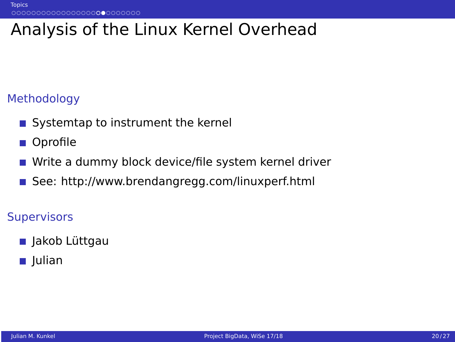# Analysis of the Linux Kernel Overhead

### Methodology

- Systemtap to instrument the kernel
- Oprofile
- Write a dummy block device/file system kernel driver
- See:<http://www.brendangregg.com/linuxperf.html>

- Jakob Lüttgau
- Julian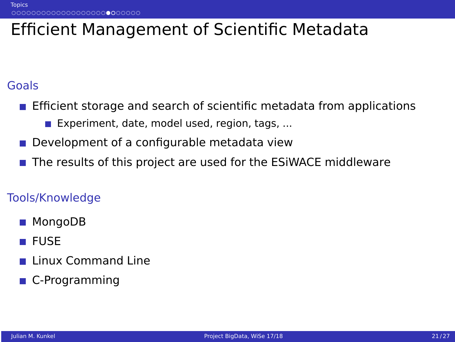# Efficient Management of Scientific Metadata

### Goals

- **E** Efficient storage and search of scientific metadata from applications
	- Experiment, date, model used, region, tags,  $\dots$
- Development of a configurable metadata view
- The results of this project are used for the ESiWACE middleware

- MongoDB  $\sim$
- **FUSE**
- **Linux Command Line**
- **C-Programming**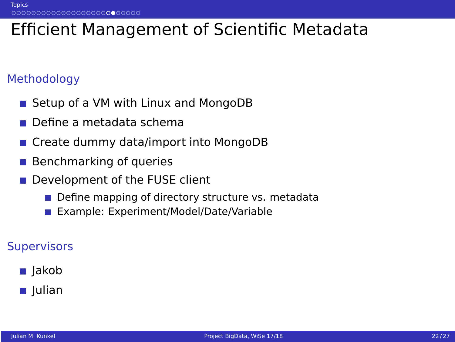# Efficient Management of Scientific Metadata

### Methodology

- Setup of a VM with Linux and MongoDB  $\sim$
- Define a metadata schema
- Create dummy data/import into MongoDB
- Benchmarking of queries
- Development of the FUSE client
	- Define mapping of directory structure vs. metadata
	- **Example: Experiment/Model/Date/Variable**

#### **Supervisors**

■ Jakob

### **■** Julian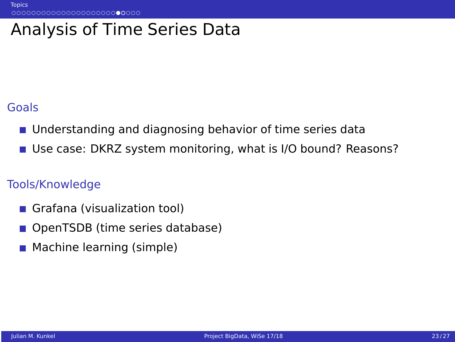## Analysis of Time Series Data

### **Goals**

- Understanding and diagnosing behavior of time series data  $\sim$
- Use case: DKRZ system monitoring, what is I/O bound? Reasons?

- Grafana (visualization tool) **College**
- OpenTSDB (time series database)
- **Machine learning (simple)**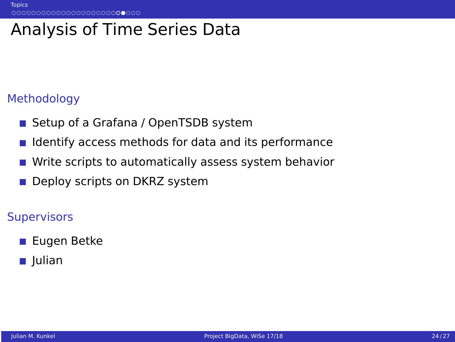## Analysis of Time Series Data

#### Methodology

- Setup of a Grafana / OpenTSDB system
- Identify access methods for data and its performance  $\sim$
- Write scripts to automatically assess system behavior  $\sim$
- $\mathcal{C}^{\mathcal{A}}$ Deploy scripts on DKRZ system

- Eugen Betke
- Julian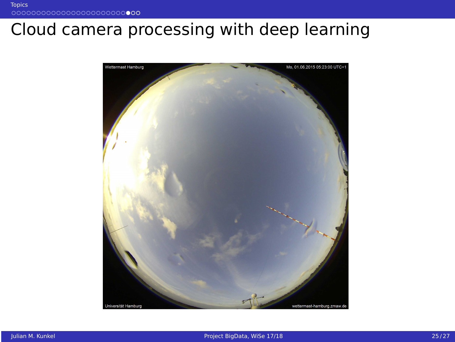# Cloud camera processing with deep learning

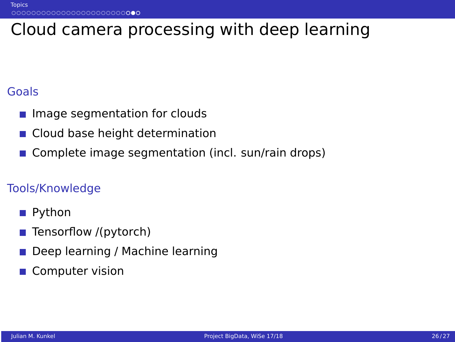# Cloud camera processing with deep learning

### Goals

- Image segmentation for clouds
- Cloud base height determination
- Complete image segmentation (incl. sun/rain drops)  $\sim$

- Python
- Tensorflow /(pytorch) П
- Deep learning / Machine learning  $\sim$
- Computer vision  $\sim$